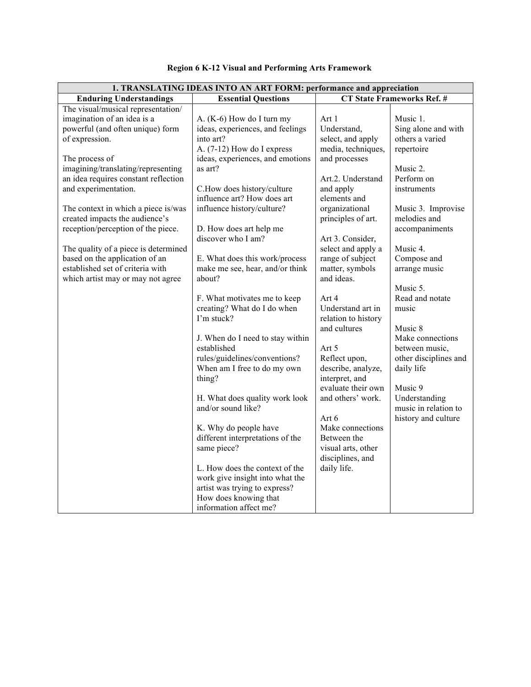| 1. TRANSLATING IDEAS INTO AN ART FORM: performance and appreciation |                                                           |                                   |                       |
|---------------------------------------------------------------------|-----------------------------------------------------------|-----------------------------------|-----------------------|
| <b>Enduring Understandings</b>                                      | <b>Essential Questions</b>                                | <b>CT State Frameworks Ref. #</b> |                       |
| The visual/musical representation/                                  |                                                           |                                   |                       |
| imagination of an idea is a                                         | A. (K-6) How do I turn my                                 | Art 1                             | Music 1.              |
| powerful (and often unique) form                                    | ideas, experiences, and feelings                          | Understand,                       | Sing alone and with   |
| of expression.                                                      | into art?                                                 | select, and apply                 | others a varied       |
|                                                                     | A. $(7-12)$ How do I express                              | media, techniques,                | repertoire            |
| The process of                                                      | ideas, experiences, and emotions                          | and processes                     |                       |
| imagining/translating/representing                                  | as art?                                                   |                                   | Music 2.              |
| an idea requires constant reflection                                |                                                           | Art.2. Understand                 | Perform on            |
| and experimentation.                                                | C.How does history/culture                                | and apply                         | instruments           |
|                                                                     | influence art? How does art                               | elements and                      |                       |
| The context in which a piece is/was                                 | influence history/culture?                                | organizational                    | Music 3. Improvise    |
| created impacts the audience's                                      |                                                           | principles of art.                | melodies and          |
| reception/perception of the piece.                                  | D. How does art help me                                   |                                   | accompaniments        |
|                                                                     | discover who I am?                                        | Art 3. Consider,                  |                       |
| The quality of a piece is determined                                |                                                           | select and apply a                | Music 4.              |
| based on the application of an                                      | E. What does this work/process                            | range of subject                  | Compose and           |
| established set of criteria with                                    | make me see, hear, and/or think                           | matter, symbols                   | arrange music         |
| which artist may or may not agree                                   | about?                                                    | and ideas.                        |                       |
|                                                                     |                                                           |                                   | Music 5.              |
|                                                                     | F. What motivates me to keep                              | Art 4                             | Read and notate       |
|                                                                     | creating? What do I do when                               | Understand art in                 | music                 |
|                                                                     | I'm stuck?                                                | relation to history               |                       |
|                                                                     |                                                           | and cultures                      | Music 8               |
|                                                                     | J. When do I need to stay within                          |                                   | Make connections      |
|                                                                     | established                                               | Art 5                             | between music,        |
|                                                                     | rules/guidelines/conventions?                             | Reflect upon,                     | other disciplines and |
|                                                                     | When am I free to do my own                               | describe, analyze,                | daily life            |
|                                                                     | thing?                                                    | interpret, and                    |                       |
|                                                                     |                                                           | evaluate their own                | Music 9               |
|                                                                     | H. What does quality work look<br>and/or sound like?      | and others' work.                 | Understanding         |
|                                                                     |                                                           |                                   | music in relation to  |
|                                                                     |                                                           | Art 6<br>Make connections         | history and culture   |
|                                                                     | K. Why do people have<br>different interpretations of the | Between the                       |                       |
|                                                                     | same piece?                                               | visual arts, other                |                       |
|                                                                     |                                                           | disciplines, and                  |                       |
|                                                                     | L. How does the context of the                            | daily life.                       |                       |
|                                                                     | work give insight into what the                           |                                   |                       |
|                                                                     | artist was trying to express?                             |                                   |                       |
|                                                                     | How does knowing that                                     |                                   |                       |
|                                                                     |                                                           |                                   |                       |

## **Region 6 K-12 Visual and Performing Arts Framework**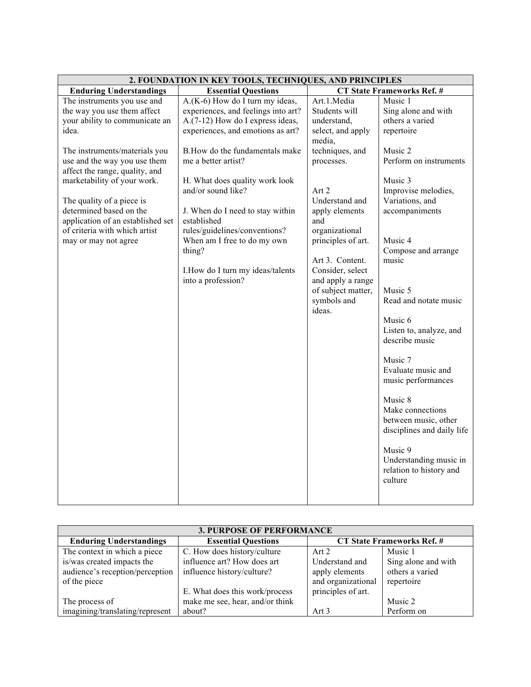| 2. FOUNDATION IN KEY TOOLS, TECHNIQUES, AND PRINCIPLES                                                                                                                                                                                                                                                                                                                                        |                                                                                                                                                                                                                                                                                                                                                                                                                                                            |                                                                                                                                                                                                                                                                                                                    |                                                                                                                                                                                                                                                                                                                                                                                                                                                                                                                                           |
|-----------------------------------------------------------------------------------------------------------------------------------------------------------------------------------------------------------------------------------------------------------------------------------------------------------------------------------------------------------------------------------------------|------------------------------------------------------------------------------------------------------------------------------------------------------------------------------------------------------------------------------------------------------------------------------------------------------------------------------------------------------------------------------------------------------------------------------------------------------------|--------------------------------------------------------------------------------------------------------------------------------------------------------------------------------------------------------------------------------------------------------------------------------------------------------------------|-------------------------------------------------------------------------------------------------------------------------------------------------------------------------------------------------------------------------------------------------------------------------------------------------------------------------------------------------------------------------------------------------------------------------------------------------------------------------------------------------------------------------------------------|
| <b>Enduring Understandings</b>                                                                                                                                                                                                                                                                                                                                                                | <b>Essential Questions</b>                                                                                                                                                                                                                                                                                                                                                                                                                                 | <b>CT State Frameworks Ref. #</b>                                                                                                                                                                                                                                                                                  |                                                                                                                                                                                                                                                                                                                                                                                                                                                                                                                                           |
| The instruments you use and<br>the way you use them affect<br>your ability to communicate an<br>idea.<br>The instruments/materials you<br>use and the way you use them<br>affect the range, quality, and<br>marketability of your work.<br>The quality of a piece is<br>determined based on the<br>application of an established set<br>of criteria with which artist<br>may or may not agree | $A(K-6)$ How do I turn my ideas,<br>experiences, and feelings into art?<br>A.(7-12) How do I express ideas,<br>experiences, and emotions as art?<br>B. How do the fundamentals make<br>me a better artist?<br>H. What does quality work look<br>and/or sound like?<br>J. When do I need to stay within<br>established<br>rules/guidelines/conventions?<br>When am I free to do my own<br>thing?<br>I. How do I turn my ideas/talents<br>into a profession? | Art.1.Media<br>Students will<br>understand,<br>select, and apply<br>media,<br>techniques, and<br>processes.<br>Art 2<br>Understand and<br>apply elements<br>and<br>organizational<br>principles of art.<br>Art 3. Content.<br>Consider, select<br>and apply a range<br>of subject matter,<br>symbols and<br>ideas. | Music 1<br>Sing alone and with<br>others a varied<br>repertoire<br>Music 2<br>Perform on instruments<br>Music 3<br>Improvise melodies,<br>Variations, and<br>accompaniments<br>Music 4<br>Compose and arrange<br>music<br>Music 5<br>Read and notate music<br>Music 6<br>Listen to, analyze, and<br>describe music<br>Music 7<br>Evaluate music and<br>music performances<br>Music 8<br>Make connections<br>between music, other<br>disciplines and daily life<br>Music 9<br>Understanding music in<br>relation to history and<br>culture |
|                                                                                                                                                                                                                                                                                                                                                                                               |                                                                                                                                                                                                                                                                                                                                                                                                                                                            |                                                                                                                                                                                                                                                                                                                    |                                                                                                                                                                                                                                                                                                                                                                                                                                                                                                                                           |

| <b>3. PURPOSE OF PERFORMANCE</b> |                                 |                                   |                     |
|----------------------------------|---------------------------------|-----------------------------------|---------------------|
| <b>Enduring Understandings</b>   | <b>Essential Questions</b>      | <b>CT State Frameworks Ref. #</b> |                     |
| The context in which a piece     | C. How does history/culture     | Art 2                             | Music 1             |
| is/was created impacts the       | influence art? How does art     | Understand and                    | Sing alone and with |
| audience's reception/perception  | influence history/culture?      | apply elements                    | others a varied     |
| of the piece                     |                                 | and organizational                | repertoire          |
|                                  | E. What does this work/process  | principles of art.                |                     |
| The process of                   | make me see, hear, and/or think |                                   | Music 2             |
| imagining/translating/represent  | about?                          | Art 3                             | Perform on          |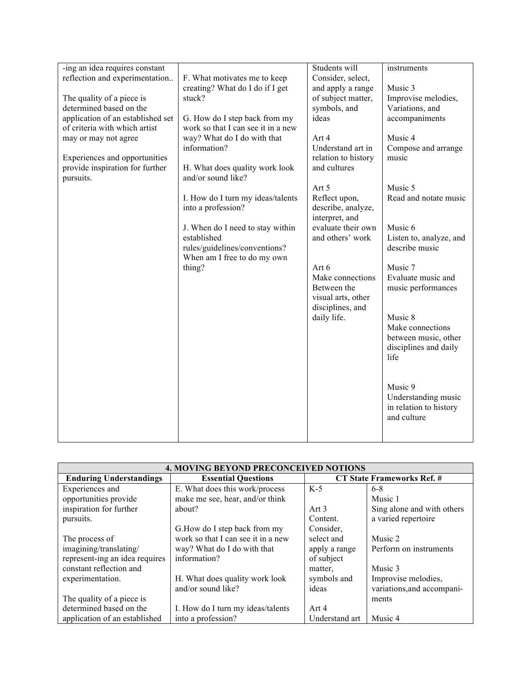| -ing an idea requires constant<br>reflection and experimentation<br>The quality of a piece is<br>determined based on the | F. What motivates me to keep<br>creating? What do I do if I get<br>stuck?     | Students will<br>Consider, select,<br>and apply a range<br>of subject matter,<br>symbols, and | instruments<br>Music 3<br>Improvise melodies,<br>Variations, and                     |
|--------------------------------------------------------------------------------------------------------------------------|-------------------------------------------------------------------------------|-----------------------------------------------------------------------------------------------|--------------------------------------------------------------------------------------|
| application of an established set<br>of criteria with which artist                                                       | G. How do I step back from my<br>work so that I can see it in a new           | ideas                                                                                         | accompaniments                                                                       |
| may or may not agree<br>Experiences and opportunities<br>provide inspiration for further                                 | way? What do I do with that<br>information?<br>H. What does quality work look | Art 4<br>Understand art in<br>relation to history<br>and cultures                             | Music 4<br>Compose and arrange<br>music                                              |
| pursuits.                                                                                                                | and/or sound like?                                                            | Art 5                                                                                         | Music 5                                                                              |
|                                                                                                                          | I. How do I turn my ideas/talents<br>into a profession?                       | Reflect upon,<br>describe, analyze,<br>interpret, and                                         | Read and notate music                                                                |
|                                                                                                                          | J. When do I need to stay within<br>established                               | evaluate their own<br>and others' work                                                        | Music 6<br>Listen to, analyze, and                                                   |
|                                                                                                                          | rules/guidelines/conventions?<br>When am I free to do my own<br>thing?        | Art 6                                                                                         | describe music<br>Music 7                                                            |
|                                                                                                                          |                                                                               | Make connections<br>Between the<br>visual arts, other<br>disciplines, and                     | Evaluate music and<br>music performances                                             |
|                                                                                                                          |                                                                               | daily life.                                                                                   | Music 8<br>Make connections<br>between music, other<br>disciplines and daily<br>life |
|                                                                                                                          |                                                                               |                                                                                               | Music 9<br>Understanding music<br>in relation to history<br>and culture              |

| <b>4. MOVING BEYOND PRECONCEIVED NOTIONS</b> |                                    |                            |                            |
|----------------------------------------------|------------------------------------|----------------------------|----------------------------|
| <b>Enduring Understandings</b>               | <b>Essential Questions</b>         | CT State Frameworks Ref. # |                            |
| Experiences and                              | E. What does this work/process     | $K-5$                      | $6-8$                      |
| opportunities provide                        | make me see, hear, and/or think    |                            | Music 1                    |
| inspiration for further                      | about?                             | Art $3$                    | Sing alone and with others |
| pursuits.                                    |                                    | Content.                   | a varied repertoire        |
|                                              | G. How do I step back from my      | Consider,                  |                            |
| The process of                               | work so that I can see it in a new | select and                 | Music 2                    |
| imagining/translating/                       | way? What do I do with that        | apply a range              | Perform on instruments     |
| represent-ing an idea requires               | information?                       | of subject                 |                            |
| constant reflection and                      |                                    | matter.                    | Music 3                    |
| experimentation.                             | H. What does quality work look     | symbols and                | Improvise melodies,        |
|                                              | and/or sound like?                 | ideas                      | variations, and accompani- |
| The quality of a piece is                    |                                    |                            | ments                      |
| determined based on the                      | I. How do I turn my ideas/talents  | Art 4                      |                            |
| application of an established                | into a profession?                 | Understand art             | Music 4                    |